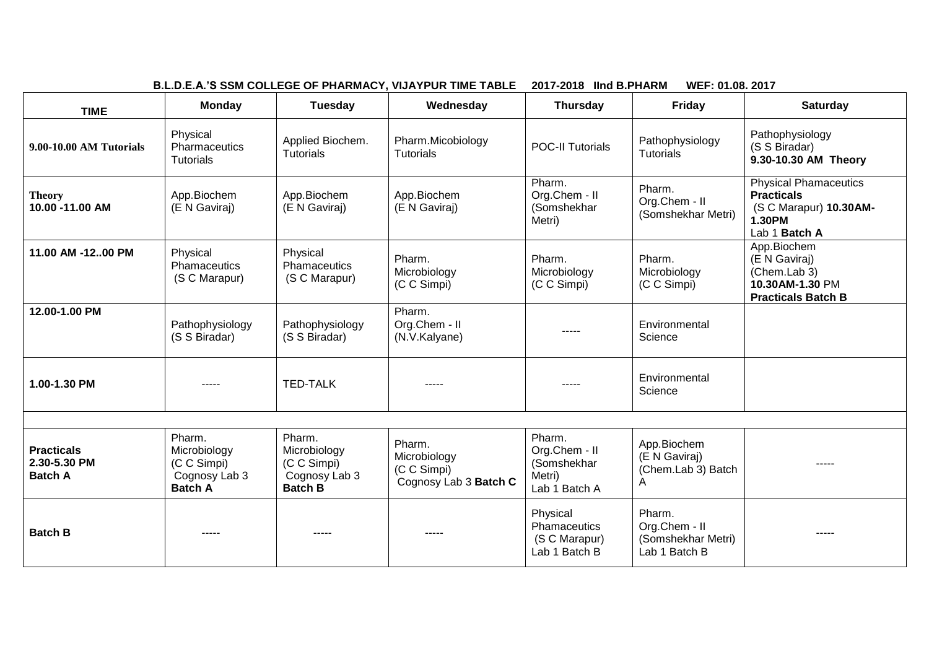| B.L.D.E.A.'S SSM COLLEGE OF PHARMACY, VIJAYPUR TIME TABLE<br>2017-2018 IInd B.PHARM<br>WEF: 01.08. 2017 |                                                                          |                                                                          |                                                                |                                                                   |                                                                |                                                                                                        |
|---------------------------------------------------------------------------------------------------------|--------------------------------------------------------------------------|--------------------------------------------------------------------------|----------------------------------------------------------------|-------------------------------------------------------------------|----------------------------------------------------------------|--------------------------------------------------------------------------------------------------------|
| <b>TIME</b>                                                                                             | <b>Monday</b>                                                            | Tuesday                                                                  | Wednesday                                                      | <b>Thursday</b>                                                   | Friday                                                         | <b>Saturday</b>                                                                                        |
| 9.00-10.00 AM Tutorials                                                                                 | Physical<br>Pharmaceutics<br><b>Tutorials</b>                            | Applied Biochem.<br>Tutorials                                            | Pharm.Micobiology<br><b>Tutorials</b>                          | <b>POC-II Tutorials</b>                                           | Pathophysiology<br><b>Tutorials</b>                            | Pathophysiology<br>(S S Biradar)<br>9.30-10.30 AM Theory                                               |
| <b>Theory</b><br>10.00 -11.00 AM                                                                        | App.Biochem<br>(E N Gaviraj)                                             | App.Biochem<br>(E N Gaviraj)                                             | App.Biochem<br>(E N Gaviraj)                                   | Pharm.<br>Org.Chem - II<br>(Somshekhar<br>Metri)                  | Pharm.<br>Org.Chem - II<br>(Somshekhar Metri)                  | <b>Physical Phamaceutics</b><br><b>Practicals</b><br>(S C Marapur) 10.30AM-<br>1.30PM<br>Lab 1 Batch A |
| 11.00 AM -1200 PM                                                                                       | Physical<br>Phamaceutics<br>(S C Marapur)                                | Physical<br>Phamaceutics<br>(S C Marapur)                                | Pharm.<br>Microbiology<br>(C C Simpi)                          | Pharm.<br>Microbiology<br>(C C Simpi)                             | Pharm.<br>Microbiology<br>(C C Simpi)                          | App.Biochem<br>(E N Gaviraj)<br>(Chem.Lab 3)<br>10.30AM-1.30 PM<br><b>Practicals Batch B</b>           |
| 12.00-1.00 PM                                                                                           | Pathophysiology<br>(S S Biradar)                                         | Pathophysiology<br>(S S Biradar)                                         | Pharm.<br>Org.Chem - II<br>(N.V.Kalyane)                       | -----                                                             | Environmental<br>Science                                       |                                                                                                        |
| 1.00-1.30 PM                                                                                            |                                                                          | <b>TED-TALK</b>                                                          | -----                                                          | -----                                                             | Environmental<br>Science                                       |                                                                                                        |
|                                                                                                         |                                                                          |                                                                          |                                                                |                                                                   |                                                                |                                                                                                        |
| <b>Practicals</b><br>2.30-5.30 PM<br><b>Batch A</b>                                                     | Pharm.<br>Microbiology<br>(C C Simpi)<br>Cognosy Lab 3<br><b>Batch A</b> | Pharm.<br>Microbiology<br>(C C Simpi)<br>Cognosy Lab 3<br><b>Batch B</b> | Pharm.<br>Microbiology<br>(C C Simpi)<br>Cognosy Lab 3 Batch C | Pharm.<br>Org.Chem - II<br>(Somshekhar<br>Metri)<br>Lab 1 Batch A | App.Biochem<br>(E N Gaviraj)<br>(Chem.Lab 3) Batch<br>A        | -----                                                                                                  |
| <b>Batch B</b>                                                                                          |                                                                          | -----                                                                    | -----                                                          | Physical<br>Phamaceutics<br>(S C Marapur)<br>Lab 1 Batch B        | Pharm.<br>Org.Chem - II<br>(Somshekhar Metri)<br>Lab 1 Batch B | $---$                                                                                                  |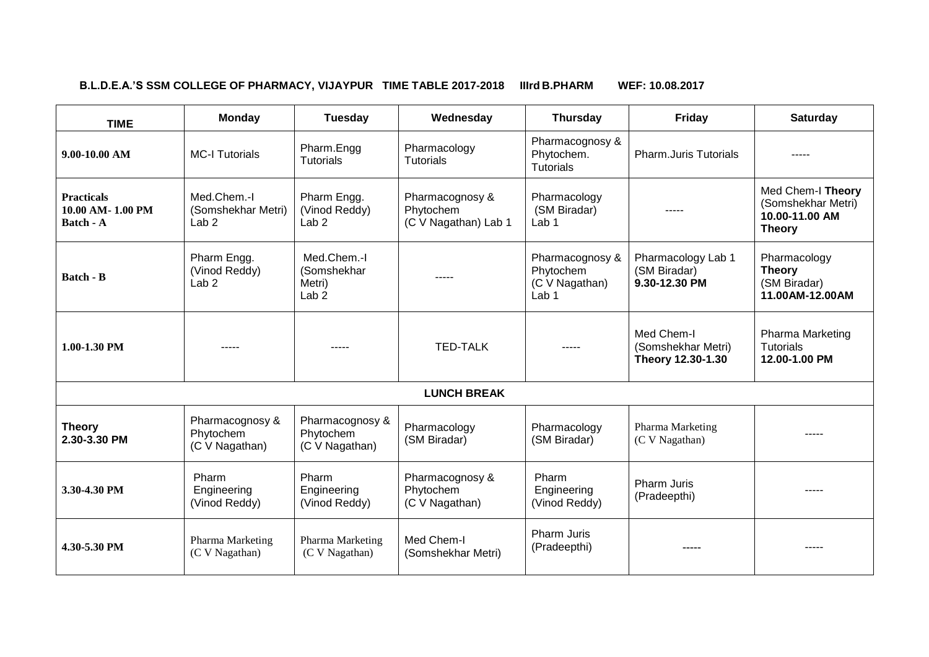#### **B.L.D.E.A.'S SSM COLLEGE OF PHARMACY, VIJAYPUR TIME TABLE 2017-2018 IIIrd B.PHARM WEF: 10.08.2017**

 $\overline{\mathbf{r}}$ 

 $\overline{\phantom{a}}$ 

| <b>TIME</b>                                        | <b>Monday</b>                                         | Tuesday                                                  | Wednesday                                            | <b>Thursday</b>                                                    | <b>Friday</b>                                         | <b>Saturday</b>                                                            |
|----------------------------------------------------|-------------------------------------------------------|----------------------------------------------------------|------------------------------------------------------|--------------------------------------------------------------------|-------------------------------------------------------|----------------------------------------------------------------------------|
| $9.00 - 10.00$ AM                                  | <b>MC-I Tutorials</b>                                 | Pharm.Engg<br><b>Tutorials</b>                           | Pharmacology<br><b>Tutorials</b>                     | Pharmacognosy &<br>Phytochem.<br><b>Tutorials</b>                  | <b>Pharm.Juris Tutorials</b>                          |                                                                            |
| <b>Practicals</b><br>10.00 AM-1.00 PM<br>Batch - A | Med.Chem.-I<br>(Somshekhar Metri)<br>Lab <sub>2</sub> | Pharm Engg.<br>(Vinod Reddy)<br>Lab <sub>2</sub>         | Pharmacognosy &<br>Phytochem<br>(C V Nagathan) Lab 1 | Pharmacology<br>(SM Biradar)<br>Lab <sub>1</sub>                   | -----                                                 | Med Chem-I Theory<br>(Somshekhar Metri)<br>10.00-11.00 AM<br><b>Theory</b> |
| <b>Batch - B</b>                                   | Pharm Engg.<br>(Vinod Reddy)<br>Lab <sub>2</sub>      | Med.Chem.-I<br>(Somshekhar<br>Metri)<br>Lab <sub>2</sub> | -----                                                | Pharmacognosy &<br>Phytochem<br>(C V Nagathan)<br>Lab <sub>1</sub> | Pharmacology Lab 1<br>(SM Biradar)<br>9.30-12.30 PM   | Pharmacology<br><b>Theory</b><br>(SM Biradar)<br>11.00AM-12.00AM           |
| 1.00-1.30 PM                                       |                                                       |                                                          | <b>TED-TALK</b>                                      |                                                                    | Med Chem-I<br>(Somshekhar Metri)<br>Theory 12.30-1.30 | Pharma Marketing<br><b>Tutorials</b><br>12.00-1.00 PM                      |
|                                                    |                                                       |                                                          | <b>LUNCH BREAK</b>                                   |                                                                    |                                                       |                                                                            |
| <b>Theory</b><br>2.30-3.30 PM                      | Pharmacognosy &<br>Phytochem<br>(C V Nagathan)        | Pharmacognosy &<br>Phytochem<br>(C V Nagathan)           | Pharmacology<br>(SM Biradar)                         | Pharmacology<br>(SM Biradar)                                       | Pharma Marketing<br>(C V Nagathan)                    |                                                                            |
| 3.30-4.30 PM                                       | Pharm<br>Engineering<br>(Vinod Reddy)                 | Pharm<br>Engineering<br>(Vinod Reddy)                    | Pharmacognosy &<br>Phytochem<br>(C V Nagathan)       | Pharm<br>Engineering<br>(Vinod Reddy)                              | Pharm Juris<br>(Pradeepthi)                           | -----                                                                      |
| 4.30-5.30 PM                                       | Pharma Marketing<br>(C V Nagathan)                    | Pharma Marketing<br>(C V Nagathan)                       | Med Chem-I<br>(Somshekhar Metri)                     | <b>Pharm Juris</b><br>(Pradeepthi)                                 | -----                                                 | -----                                                                      |

 $\overline{\phantom{a}}$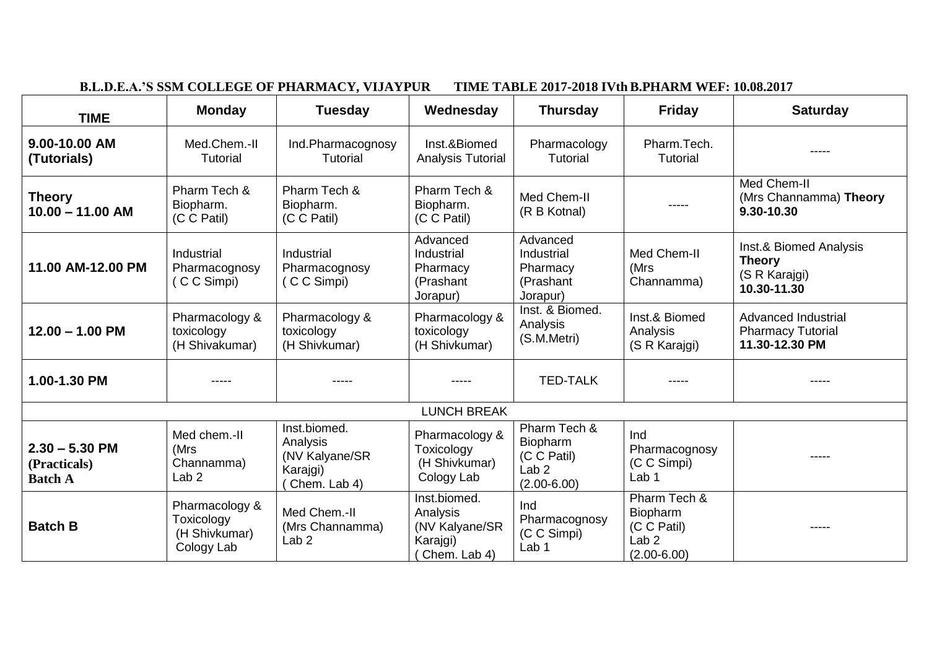|                                                    | D.L.D.E.A. 5 55M COLLEGE OF FRANMACT, VIJATFUN<br>THME TADLE 2017-2010 IVUI D.F. TANNI WEF; 10.00.2017 |                                                                         |                                                                        |                                                                                |                                                                                |                                                                          |  |  |
|----------------------------------------------------|--------------------------------------------------------------------------------------------------------|-------------------------------------------------------------------------|------------------------------------------------------------------------|--------------------------------------------------------------------------------|--------------------------------------------------------------------------------|--------------------------------------------------------------------------|--|--|
| <b>TIME</b>                                        | <b>Monday</b>                                                                                          | <b>Tuesday</b>                                                          | Wednesday                                                              | <b>Thursday</b>                                                                | <b>Friday</b>                                                                  | <b>Saturday</b>                                                          |  |  |
| 9.00-10.00 AM<br>(Tutorials)                       | Med.Chem.-II<br><b>Tutorial</b>                                                                        | Ind.Pharmacognosy<br><b>Tutorial</b>                                    | Inst.&Biomed<br><b>Analysis Tutorial</b>                               | Pharmacology<br><b>Tutorial</b>                                                | Pharm.Tech.<br>Tutorial                                                        |                                                                          |  |  |
| <b>Theory</b><br>$10.00 - 11.00$ AM                | Pharm Tech &<br>Biopharm.<br>(C C Patil)                                                               | Pharm Tech &<br>Biopharm.<br>(C C Patil)                                | Pharm Tech &<br>Biopharm.<br>(C C Patil)                               | Med Chem-II<br>(R B Kotnal)                                                    |                                                                                | Med Chem-II<br>(Mrs Channamma) Theory<br>9.30-10.30                      |  |  |
| 11.00 AM-12.00 PM                                  | Industrial<br>Pharmacognosy<br>(CC Simpi)                                                              | Industrial<br>Pharmacognosy<br>(CC Simpi)                               | Advanced<br>Industrial<br>Pharmacy<br>(Prashant<br>Jorapur)            | Advanced<br>Industrial<br>Pharmacy<br>(Prashant<br>Jorapur)                    | Med Chem-II<br>(Mrs<br>Channamma)                                              | Inst.& Biomed Analysis<br><b>Theory</b><br>(S R Karajgi)<br>10.30-11.30  |  |  |
| $12.00 - 1.00$ PM                                  | Pharmacology &<br>toxicology<br>(H Shivakumar)                                                         | Pharmacology &<br>toxicology<br>(H Shivkumar)                           | Pharmacology &<br>toxicology<br>(H Shivkumar)                          | Inst. & Biomed.<br>Analysis<br>(S.M.Metri)                                     | Inst.& Biomed<br>Analysis<br>(S R Karajgi)                                     | <b>Advanced Industrial</b><br><b>Pharmacy Tutorial</b><br>11.30-12.30 PM |  |  |
| 1.00-1.30 PM                                       | $- - - - -$                                                                                            | -----                                                                   |                                                                        | <b>TED-TALK</b>                                                                | -----                                                                          | -----                                                                    |  |  |
|                                                    |                                                                                                        |                                                                         | <b>LUNCH BREAK</b>                                                     |                                                                                |                                                                                |                                                                          |  |  |
| $2.30 - 5.30$ PM<br>(Practicals)<br><b>Batch A</b> | Med chem.-II<br>(Mrs<br>Channamma)<br>Lab <sub>2</sub>                                                 | Inst.biomed.<br>Analysis<br>(NV Kalyane/SR<br>Karajgi)<br>(Chem. Lab 4) | Pharmacology &<br>Toxicology<br>(H Shivkumar)<br>Cology Lab            | Pharm Tech &<br>Biopharm<br>(C C Patil)<br>Lab <sub>2</sub><br>$(2.00 - 6.00)$ | Ind<br>Pharmacognosy<br>(C C Simpi)<br>Lab <sub>1</sub>                        | -----                                                                    |  |  |
| <b>Batch B</b>                                     | Pharmacology &<br>Toxicology<br>(H Shivkumar)<br>Cology Lab                                            | Med Chem.-II<br>(Mrs Channamma)<br>Lab <sub>2</sub>                     | Inst.biomed.<br>Analysis<br>(NV Kalyane/SR<br>Karajgi)<br>Chem. Lab 4) | Ind<br>Pharmacognosy<br>(C C Simpi)<br>Lab <sub>1</sub>                        | Pharm Tech &<br>Biopharm<br>(C C Patil)<br>Lab <sub>2</sub><br>$(2.00 - 6.00)$ | -----                                                                    |  |  |

#### **B.L.D.E.A.'S SSM COLLEGE OF PHARMACY, VIJAYPUR TIME TABLE 2017-2018 IVth B.PHARM WEF: 10.08.2017**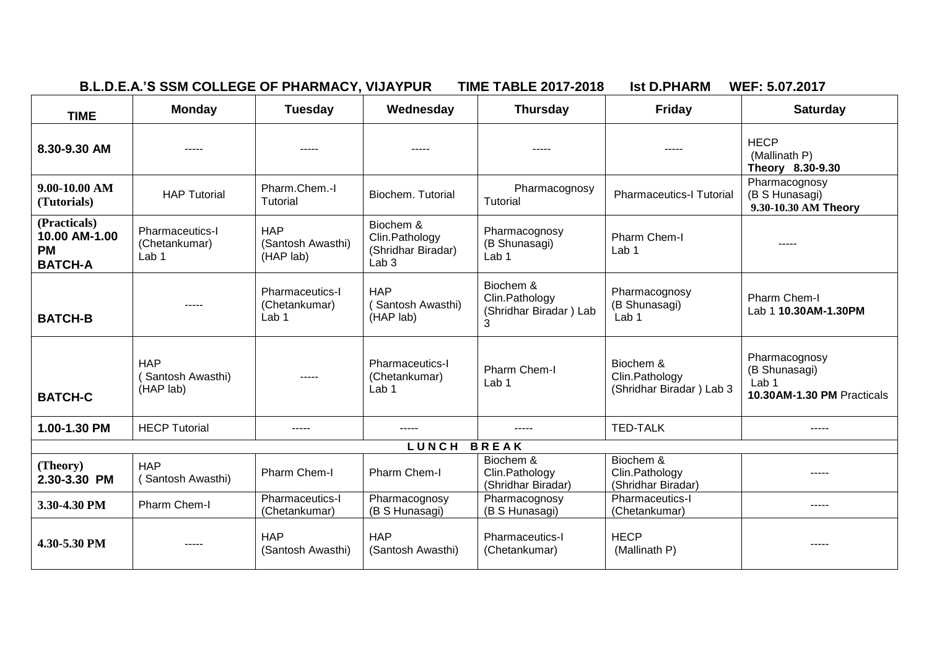| <b>B.L.D.E.A.'S SSM COLLEGE OF PHARMACY,</b> | <b>NIJAYPUR</b> | <b>TABLE 2017-2018</b><br><b>TIME</b> | <b>Ist D.PHARM</b> | <b>WEF: 5.07.</b><br>.201 |  |
|----------------------------------------------|-----------------|---------------------------------------|--------------------|---------------------------|--|
|                                              |                 |                                       |                    |                           |  |

| <b>TIME</b>                                                  | <b>Monday</b>                                               | <b>Tuesday</b>                                              | Wednesday                                                             | <b>Thursday</b>                                            | <b>Friday</b>                                           | <b>Saturday</b>                                                                  |
|--------------------------------------------------------------|-------------------------------------------------------------|-------------------------------------------------------------|-----------------------------------------------------------------------|------------------------------------------------------------|---------------------------------------------------------|----------------------------------------------------------------------------------|
| 8.30-9.30 AM                                                 | -----                                                       | -----                                                       | -----                                                                 | -----                                                      | -----                                                   | <b>HECP</b><br>(Mallinath P)<br>Theory 8.30-9.30                                 |
| $9.00 - 10.00$ AM<br>(Tutorials)                             | <b>HAP Tutorial</b>                                         | Pharm.Chem.-I<br>Tutorial                                   | Biochem. Tutorial                                                     | Pharmacognosy<br>Tutorial                                  | <b>Pharmaceutics-I Tutorial</b>                         | Pharmacognosy<br>(B S Hunasagi)<br>9.30-10.30 AM Theory                          |
| (Practicals)<br>10.00 AM-1.00<br><b>PM</b><br><b>BATCH-A</b> | <b>Pharmaceutics-I</b><br>(Chetankumar)<br>Lab <sub>1</sub> | <b>HAP</b><br>(Santosh Awasthi)<br>(HAP lab)                | Biochem &<br>Clin.Pathology<br>(Shridhar Biradar)<br>Lab <sub>3</sub> | Pharmacognosy<br>(B Shunasagi)<br>Lab <sub>1</sub>         | Pharm Chem-I<br>Lab <sub>1</sub>                        |                                                                                  |
| <b>BATCH-B</b>                                               | -----                                                       | <b>Pharmaceutics-I</b><br>(Chetankumar)<br>Lab <sub>1</sub> | <b>HAP</b><br>(Santosh Awasthi)<br>(HAP lab)                          | Biochem &<br>Clin.Pathology<br>(Shridhar Biradar) Lab<br>3 | Pharmacognosy<br>(B Shunasagi)<br>Lab <sub>1</sub>      | Pharm Chem-I<br>Lab 1 10.30AM-1.30PM                                             |
| <b>BATCH-C</b>                                               | <b>HAP</b><br>(Santosh Awasthi)<br>(HAP lab)                |                                                             | Pharmaceutics-I<br>(Chetankumar)<br>Lab <sub>1</sub>                  | Pharm Chem-I<br>Lab <sub>1</sub>                           | Biochem &<br>Clin.Pathology<br>(Shridhar Biradar) Lab 3 | Pharmacognosy<br>(B Shunasagi)<br>Lab <sub>1</sub><br>10.30AM-1.30 PM Practicals |
| 1.00-1.30 PM                                                 | <b>HECP Tutorial</b>                                        | $- - - - -$                                                 | -----                                                                 | -----                                                      | <b>TED-TALK</b>                                         | -----                                                                            |
|                                                              |                                                             |                                                             | LUNCH BREAK                                                           |                                                            |                                                         |                                                                                  |
| (Theory)<br>2.30-3.30 PM                                     | <b>HAP</b><br>(Santosh Awasthi)                             | Pharm Chem-I                                                | Pharm Chem-I                                                          | Biochem &<br>Clin.Pathology<br>(Shridhar Biradar)          | Biochem &<br>Clin.Pathology<br>(Shridhar Biradar)       |                                                                                  |
| 3.30-4.30 PM                                                 | Pharm Chem-I                                                | <b>Pharmaceutics-I</b><br>(Chetankumar)                     | Pharmacognosy<br>(B S Hunasagi)                                       | Pharmacognosy<br>(B S Hunasagi)                            | Pharmaceutics-I<br>(Chetankumar)                        | -----                                                                            |
| 4.30-5.30 PM                                                 |                                                             | <b>HAP</b><br>(Santosh Awasthi)                             | <b>HAP</b><br>(Santosh Awasthi)                                       | <b>Pharmaceutics-I</b><br>(Chetankumar)                    | <b>HECP</b><br>(Mallinath P)                            | -----                                                                            |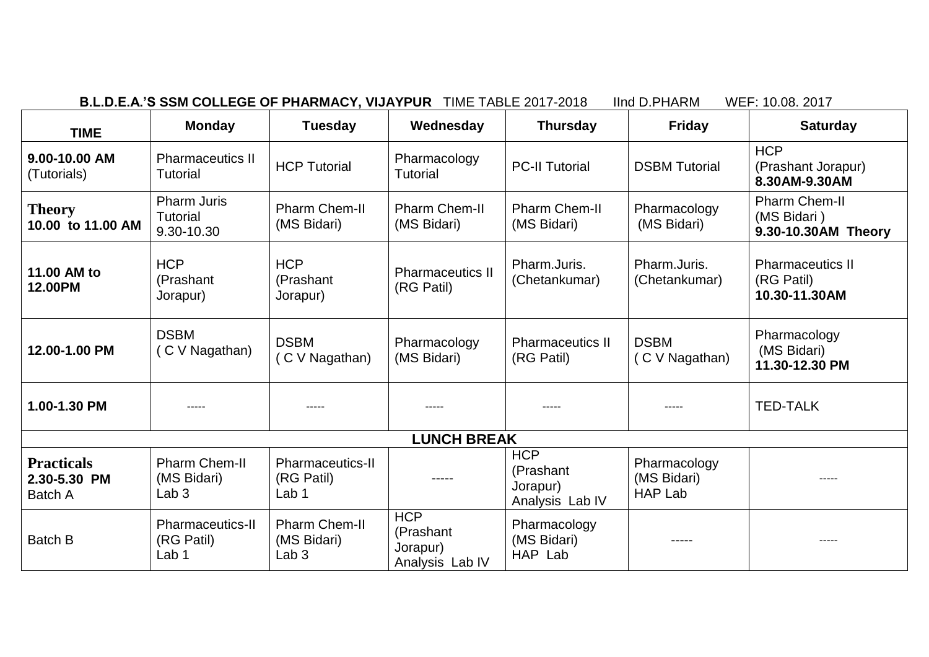| B.L.D.E.A.'S SSM COLLEGE OF PHARMACY, VIJAYPUR TIME TABLE 2017-20 |  |  |
|-------------------------------------------------------------------|--|--|
|-------------------------------------------------------------------|--|--|

**B.L.D.E.A.'S SSM COLLEGE OF PHARMACY, VIJAYPUR** TIME TABLE 2017-2018 IInd D.PHARM WEF: 10.08. 2017

| <b>TIME</b>                                  | <b>Monday</b>                                           | <b>Tuesday</b>                                            | Wednesday                                              | <b>Thursday</b>                                        | <b>Friday</b>                                 | <b>Saturday</b>                                            |
|----------------------------------------------|---------------------------------------------------------|-----------------------------------------------------------|--------------------------------------------------------|--------------------------------------------------------|-----------------------------------------------|------------------------------------------------------------|
| 9.00-10.00 AM<br>(Tutorials)                 | <b>Pharmaceutics II</b><br><b>Tutorial</b>              | <b>HCP Tutorial</b>                                       | Pharmacology<br><b>Tutorial</b>                        | <b>PC-II Tutorial</b>                                  | <b>DSBM</b> Tutorial                          | <b>HCP</b><br>(Prashant Jorapur)<br>8.30AM-9.30AM          |
| <b>Theory</b><br>10.00 to 11.00 AM           | <b>Pharm Juris</b><br><b>Tutorial</b><br>9.30-10.30     | <b>Pharm Chem-II</b><br>(MS Bidari)                       | <b>Pharm Chem-II</b><br>(MS Bidari)                    | <b>Pharm Chem-II</b><br>(MS Bidari)                    | Pharmacology<br>(MS Bidari)                   | <b>Pharm Chem-II</b><br>(MS Bidari)<br>9.30-10.30AM Theory |
| 11.00 AM to<br><b>12.00PM</b>                | <b>HCP</b><br>(Prashant<br>Jorapur)                     | <b>HCP</b><br>(Prashant<br>Jorapur)                       | <b>Pharmaceutics II</b><br>(RG Patil)                  | Pharm.Juris.<br>(Chetankumar)                          | Pharm.Juris.<br>(Chetankumar)                 | <b>Pharmaceutics II</b><br>(RG Patil)<br>10.30-11.30AM     |
| 12.00-1.00 PM                                | <b>DSBM</b><br>(C V Nagathan)                           | <b>DSBM</b><br>C V Nagathan)                              | Pharmacology<br>(MS Bidari)                            | <b>Pharmaceutics II</b><br>(RG Patil)                  | <b>DSBM</b><br>(C V Nagathan)                 | Pharmacology<br>(MS Bidari)<br>11.30-12.30 PM              |
| 1.00-1.30 PM                                 | -----                                                   | -----                                                     | -----                                                  |                                                        | -----                                         | <b>TED-TALK</b>                                            |
|                                              |                                                         |                                                           | <b>LUNCH BREAK</b>                                     |                                                        |                                               |                                                            |
| <b>Practicals</b><br>2.30-5.30 PM<br>Batch A | <b>Pharm Chem-II</b><br>(MS Bidari)<br>Lab <sub>3</sub> | <b>Pharmaceutics-II</b><br>(RG Patil)<br>Lab <sub>1</sub> | -----                                                  | <b>HCP</b><br>(Prashant<br>Jorapur)<br>Analysis Lab IV | Pharmacology<br>(MS Bidari)<br><b>HAP Lab</b> |                                                            |
| <b>Batch B</b>                               | <b>Pharmaceutics-II</b><br>(RG Patil)<br>Lab 1          | <b>Pharm Chem-II</b><br>(MS Bidari)<br>Lab <sub>3</sub>   | <b>HCP</b><br>(Prashant<br>Jorapur)<br>Analysis Lab IV | Pharmacology<br>(MS Bidari)<br>HAP Lab                 | -----                                         |                                                            |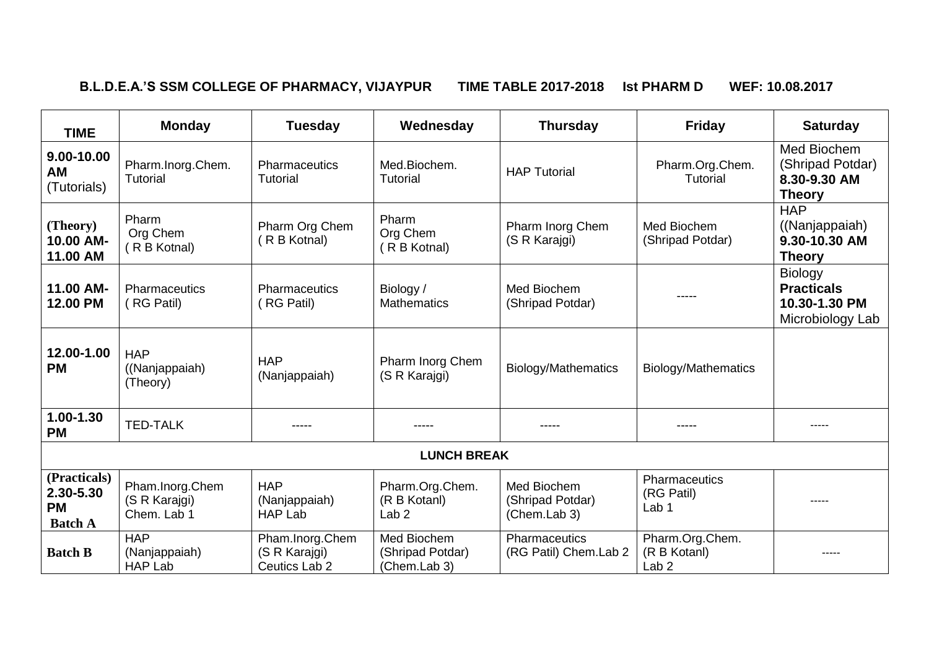# **B.L.D.E.A.'S SSM COLLEGE OF PHARMACY, VIJAYPUR TIME TABLE 2017-2018 Ist PHARM D WEF: 10.08.2017**

| <b>TIME</b>                                              | <b>Monday</b>                                   | <b>Tuesday</b>                                    | Wednesday                                           | <b>Thursday</b>                                 | <b>Friday</b>                                       | <b>Saturday</b>                                                          |
|----------------------------------------------------------|-------------------------------------------------|---------------------------------------------------|-----------------------------------------------------|-------------------------------------------------|-----------------------------------------------------|--------------------------------------------------------------------------|
| 9.00-10.00<br><b>AM</b><br>(Tutorials)                   | Pharm.Inorg.Chem.<br><b>Tutorial</b>            | Pharmaceutics<br>Tutorial                         | Med.Biochem.<br><b>Tutorial</b>                     | <b>HAP Tutorial</b>                             | Pharm.Org.Chem.<br><b>Tutorial</b>                  | Med Biochem<br>(Shripad Potdar)<br>8.30-9.30 AM<br><b>Theory</b>         |
| (Theory)<br>10.00 AM-<br>11.00 AM                        | Pharm<br>Org Chem<br>(R B Kotnal)               | Pharm Org Chem<br>R B Kotnal)                     | Pharm<br>Org Chem<br>(R B Kotnal)                   | Pharm Inorg Chem<br>(S R Karajgi)               | Med Biochem<br>(Shripad Potdar)                     | <b>HAP</b><br>((Nanjappaiah)<br>9.30-10.30 AM<br><b>Theory</b>           |
| 11.00 AM-<br>12.00 PM                                    | <b>Pharmaceutics</b><br>(RG Patil)              | <b>Pharmaceutics</b><br>(RG Patil)                | Biology /<br><b>Mathematics</b>                     | Med Biochem<br>(Shripad Potdar)                 |                                                     | <b>Biology</b><br><b>Practicals</b><br>10.30-1.30 PM<br>Microbiology Lab |
| 12.00-1.00<br><b>PM</b>                                  | <b>HAP</b><br>((Nanjappaiah)<br>(Theory)        | <b>HAP</b><br>(Nanjappaiah)                       | Pharm Inorg Chem<br>(S R Karajgi)                   | Biology/Mathematics                             | Biology/Mathematics                                 |                                                                          |
| $1.00 - 1.30$<br><b>PM</b>                               | <b>TED-TALK</b>                                 | -----                                             | -----                                               | -----                                           | -----                                               | $---$                                                                    |
|                                                          |                                                 |                                                   | <b>LUNCH BREAK</b>                                  |                                                 |                                                     |                                                                          |
| (Practicals)<br>2.30-5.30<br><b>PM</b><br><b>Batch A</b> | Pham.Inorg.Chem<br>(S R Karajgi)<br>Chem. Lab 1 | <b>HAP</b><br>(Nanjappaiah)<br><b>HAP Lab</b>     | Pharm.Org.Chem.<br>(R B Kotanl)<br>Lab <sub>2</sub> | Med Biochem<br>(Shripad Potdar)<br>(Chem.Lab 3) | Pharmaceutics<br>(RG Patil)<br>Lab <sub>1</sub>     |                                                                          |
| <b>Batch B</b>                                           | <b>HAP</b><br>(Nanjappaiah)<br><b>HAP Lab</b>   | Pham.Inorg.Chem<br>(S R Karajgi)<br>Ceutics Lab 2 | Med Biochem<br>(Shripad Potdar)<br>(Chem.Lab 3)     | <b>Pharmaceutics</b><br>(RG Patil) Chem.Lab 2   | Pharm.Org.Chem.<br>(R B Kotanl)<br>Lab <sub>2</sub> |                                                                          |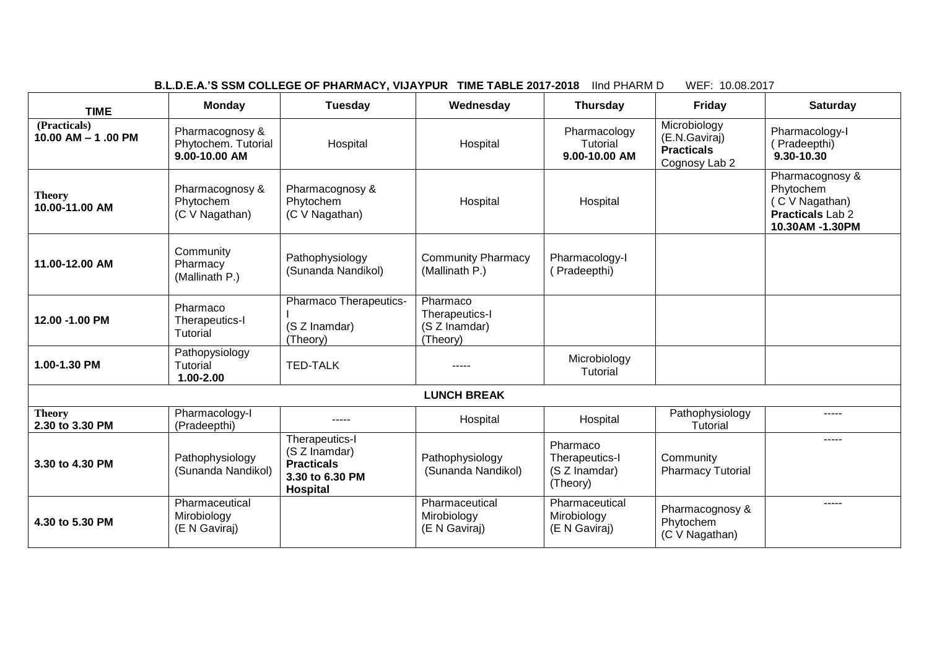| lind PHARM D<br>WEF: 10.08.2017<br>B.L.D.E.A.'S SSM COLLEGE OF PHARMACY, VIJAYPUR TIME TABLE 2017-2018 |                                                         |                                                                                     |                                                         |                                                         |                                                                     |                                                                                              |  |
|--------------------------------------------------------------------------------------------------------|---------------------------------------------------------|-------------------------------------------------------------------------------------|---------------------------------------------------------|---------------------------------------------------------|---------------------------------------------------------------------|----------------------------------------------------------------------------------------------|--|
| <b>TIME</b>                                                                                            | <b>Monday</b>                                           | <b>Tuesday</b>                                                                      | Wednesday                                               | <b>Thursday</b>                                         | Friday                                                              | <b>Saturday</b>                                                                              |  |
| (Practicals)<br>10.00 AM - 1.00 PM                                                                     | Pharmacognosy &<br>Phytochem. Tutorial<br>9.00-10.00 AM | Hospital                                                                            | Hospital                                                | Pharmacology<br>Tutorial<br>9.00-10.00 AM               | Microbiology<br>(E.N.Gaviraj)<br><b>Practicals</b><br>Cognosy Lab 2 | Pharmacology-I<br>(Pradeepthi)<br>9.30-10.30                                                 |  |
| <b>Theory</b><br>10.00-11.00 AM                                                                        | Pharmacognosy &<br>Phytochem<br>(C V Nagathan)          | Pharmacognosy &<br>Phytochem<br>(C V Nagathan)                                      | Hospital                                                | Hospital                                                |                                                                     | Pharmacognosy &<br>Phytochem<br>(C V Nagathan)<br><b>Practicals Lab 2</b><br>10.30AM -1.30PM |  |
| 11.00-12.00 AM                                                                                         | Community<br>Pharmacy<br>(Mallinath P.)                 | Pathophysiology<br>(Sunanda Nandikol)                                               | <b>Community Pharmacy</b><br>(Mallinath P.)             | Pharmacology-I<br>(Pradeepthi)                          |                                                                     |                                                                                              |  |
| 12.00 -1.00 PM                                                                                         | Pharmaco<br>Therapeutics-I<br>Tutorial                  | Pharmaco Therapeutics-<br>(S Z Inamdar)<br>(Theory)                                 | Pharmaco<br>Therapeutics-I<br>(S Z Inamdar)<br>(Theory) |                                                         |                                                                     |                                                                                              |  |
| 1.00-1.30 PM                                                                                           | Pathopysiology<br>Tutorial<br>1.00-2.00                 | <b>TED-TALK</b>                                                                     |                                                         | Microbiology<br>Tutorial                                |                                                                     |                                                                                              |  |
|                                                                                                        |                                                         |                                                                                     | <b>LUNCH BREAK</b>                                      |                                                         |                                                                     |                                                                                              |  |
| <b>Theory</b><br>2.30 to 3.30 PM                                                                       | Pharmacology-I<br>(Pradeepthi)                          |                                                                                     | Hospital                                                | Hospital                                                | Pathophysiology<br>Tutorial                                         | $- - - - -$                                                                                  |  |
| 3.30 to 4.30 PM                                                                                        | Pathophysiology<br>(Sunanda Nandikol)                   | Therapeutics-I<br>(S Z Inamdar)<br><b>Practicals</b><br>3.30 to 6.30 PM<br>Hospital | Pathophysiology<br>(Sunanda Nandikol)                   | Pharmaco<br>Therapeutics-I<br>(S Z Inamdar)<br>(Theory) | Community<br><b>Pharmacy Tutorial</b>                               | $- - - - -$                                                                                  |  |
| 4.30 to 5.30 PM                                                                                        | Pharmaceutical<br>Mirobiology<br>(E N Gaviraj)          |                                                                                     | Pharmaceutical<br>Mirobiology<br>(E N Gaviraj)          | Pharmaceutical<br>Mirobiology<br>(E N Gaviraj)          | Pharmacognosy &<br>Phytochem<br>(C V Nagathan)                      | -----                                                                                        |  |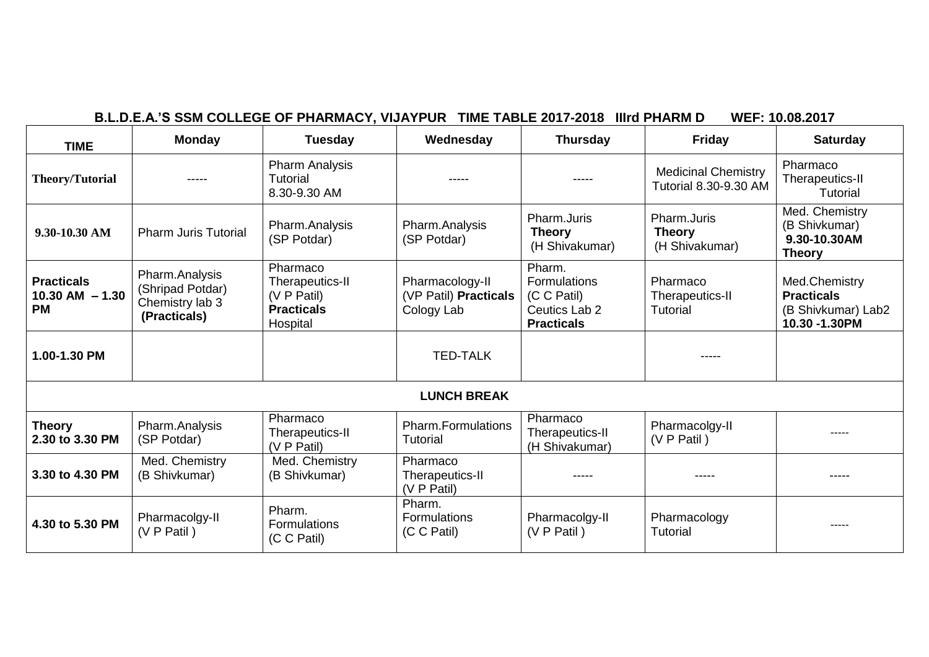| <b>TIME</b>                                           | <b>Monday</b>                                                         | <b>Tuesday</b>                                                              | Wednesday                                              | <b>Thursday</b>                                                             | <b>Friday</b>                                              | <b>Saturday</b>                                                           |
|-------------------------------------------------------|-----------------------------------------------------------------------|-----------------------------------------------------------------------------|--------------------------------------------------------|-----------------------------------------------------------------------------|------------------------------------------------------------|---------------------------------------------------------------------------|
| <b>Theory/Tutorial</b>                                |                                                                       | <b>Pharm Analysis</b><br>Tutorial<br>8.30-9.30 AM                           |                                                        |                                                                             | <b>Medicinal Chemistry</b><br><b>Tutorial 8.30-9.30 AM</b> | Pharmaco<br>Therapeutics-II<br>Tutorial                                   |
| $9.30 - 10.30$ AM                                     | <b>Pharm Juris Tutorial</b>                                           | Pharm.Analysis<br>(SP Potdar)                                               | Pharm.Analysis<br>(SP Potdar)                          | Pharm.Juris<br><b>Theory</b><br>(H Shivakumar)                              | Pharm.Juris<br><b>Theory</b><br>(H Shivakumar)             | Med. Chemistry<br>(B Shivkumar)<br>9.30-10.30AM<br><b>Theory</b>          |
| <b>Practicals</b><br>$10.30$ AM $- 1.30$<br><b>PM</b> | Pharm.Analysis<br>(Shripad Potdar)<br>Chemistry lab 3<br>(Practicals) | Pharmaco<br>Therapeutics-II<br>(V P Patil)<br><b>Practicals</b><br>Hospital | Pharmacology-II<br>(VP Patil) Practicals<br>Cology Lab | Pharm.<br>Formulations<br>(C C Patil)<br>Ceutics Lab 2<br><b>Practicals</b> | Pharmaco<br>Therapeutics-II<br>Tutorial                    | Med.Chemistry<br><b>Practicals</b><br>(B Shivkumar) Lab2<br>10.30 -1.30PM |
| 1.00-1.30 PM                                          |                                                                       |                                                                             | <b>TED-TALK</b>                                        |                                                                             | -----                                                      |                                                                           |
|                                                       |                                                                       |                                                                             | <b>LUNCH BREAK</b>                                     |                                                                             |                                                            |                                                                           |
| <b>Theory</b><br>2.30 to 3.30 PM                      | Pharm.Analysis<br>(SP Potdar)                                         | Pharmaco<br>Therapeutics-II<br>(V P Patil)                                  | <b>Pharm.Formulations</b><br><b>Tutorial</b>           | Pharmaco<br>Therapeutics-II<br>(H Shivakumar)                               | Pharmacolgy-II<br>(V P Patil)                              | -----                                                                     |
| 3.30 to 4.30 PM                                       | Med. Chemistry<br>(B Shivkumar)                                       | Med. Chemistry<br>(B Shivkumar)                                             | Pharmaco<br>Therapeutics-II<br>(V P Patil)             |                                                                             |                                                            | -----                                                                     |
| 4.30 to 5.30 PM                                       | Pharmacolgy-II<br>(V P Patil)                                         | Pharm.<br><b>Formulations</b><br>(C C Patil)                                | Pharm.<br>Formulations<br>(C C Patil)                  | Pharmacolgy-II<br>(V P Patil)                                               | Pharmacology<br>Tutorial                                   |                                                                           |

# **B.L.D.E.A.'S SSM COLLEGE OF PHARMACY, VIJAYPUR TIME TABLE 2017-2018 IIIrd PHARM D WEF: 10.08.2017**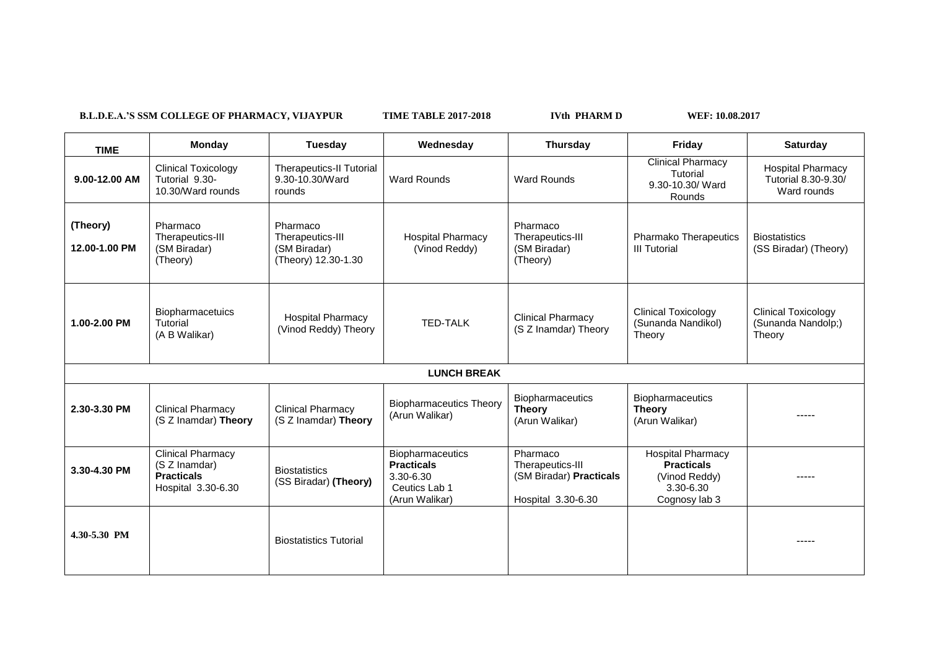B.L.D.E.A.'S SSM COLLEGE OF PHARMACY, VIJAYPUR TIME TABLE 2017-2018 IVth PHARM D WEF: 10.08.2017

 $\Gamma$ 

 $\overline{\phantom{0}}$ 

| <b>TIME</b>               | Monday                                                                               | Tuesday                                                             | Wednesday                                                                             | <b>Thursday</b>                                                               | Friday                                                                                       | <b>Saturday</b>                                                |
|---------------------------|--------------------------------------------------------------------------------------|---------------------------------------------------------------------|---------------------------------------------------------------------------------------|-------------------------------------------------------------------------------|----------------------------------------------------------------------------------------------|----------------------------------------------------------------|
| 9.00-12.00 AM             | <b>Clinical Toxicology</b><br>Tutorial 9.30-<br>10.30/Ward rounds                    | <b>Therapeutics-II Tutorial</b><br>9.30-10.30/Ward<br>rounds        | <b>Ward Rounds</b>                                                                    | <b>Ward Rounds</b>                                                            | <b>Clinical Pharmacy</b><br>Tutorial<br>9.30-10.30/ Ward<br>Rounds                           | <b>Hospital Pharmacy</b><br>Tutorial 8.30-9.30/<br>Ward rounds |
| (Theory)<br>12.00-1.00 PM | Pharmaco<br>Therapeutics-III<br>(SM Biradar)<br>(Theory)                             | Pharmaco<br>Therapeutics-III<br>(SM Biradar)<br>(Theory) 12.30-1.30 | <b>Hospital Pharmacy</b><br>(Vinod Reddy)                                             | Pharmaco<br>Therapeutics-III<br>(SM Biradar)<br>(Theory)                      | <b>Pharmako Therapeutics</b><br><b>III Tutorial</b>                                          | <b>Biostatistics</b><br>(SS Biradar) (Theory)                  |
| 1.00-2.00 PM              | Biopharmacetuics<br>Tutorial<br>(A B Walikar)                                        | <b>Hospital Pharmacy</b><br>(Vinod Reddy) Theory                    | <b>TED-TALK</b>                                                                       | <b>Clinical Pharmacy</b><br>(S Z Inamdar) Theory                              | <b>Clinical Toxicology</b><br>(Sunanda Nandikol)<br>Theory                                   | <b>Clinical Toxicology</b><br>(Sunanda Nandolp;)<br>Theory     |
|                           |                                                                                      |                                                                     | <b>LUNCH BREAK</b>                                                                    |                                                                               |                                                                                              |                                                                |
| 2.30-3.30 PM              | <b>Clinical Pharmacy</b><br>(S Z Inamdar) Theory                                     | <b>Clinical Pharmacy</b><br>(S Z Inamdar) Theory                    | <b>Biopharmaceutics Theory</b><br>(Arun Walikar)                                      | Biopharmaceutics<br><b>Theory</b><br>(Arun Walikar)                           | Biopharmaceutics<br><b>Theory</b><br>(Arun Walikar)                                          | -----                                                          |
| 3.30-4.30 PM              | <b>Clinical Pharmacy</b><br>(S Z Inamdar)<br><b>Practicals</b><br>Hospital 3.30-6.30 | <b>Biostatistics</b><br>(SS Biradar) (Theory)                       | Biopharmaceutics<br><b>Practicals</b><br>3.30-6.30<br>Ceutics Lab 1<br>(Arun Walikar) | Pharmaco<br>Therapeutics-III<br>(SM Biradar) Practicals<br>Hospital 3.30-6.30 | <b>Hospital Pharmacy</b><br><b>Practicals</b><br>(Vinod Reddy)<br>3.30-6.30<br>Cognosy lab 3 |                                                                |
| 4.30-5.30 PM              |                                                                                      | <b>Biostatistics Tutorial</b>                                       |                                                                                       |                                                                               |                                                                                              | -----                                                          |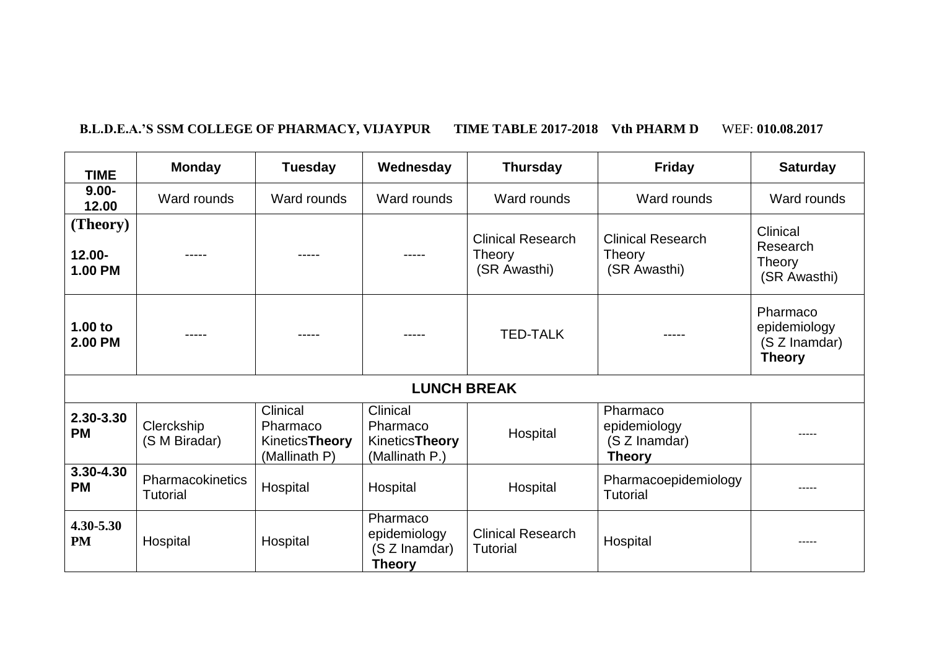# **B.L.D.E.A.'S SSM COLLEGE OF PHARMACY, VIJAYPUR TIME TABLE 2017-2018 Vth PHARM D** WEF: **010.08.2017**

| <b>TIME</b>                             | <b>Monday</b>                       | <b>Tuesday</b>                                          | Wednesday                                                       | <b>Thursday</b>                                    | <b>Friday</b>                                              | <b>Saturday</b>                                            |
|-----------------------------------------|-------------------------------------|---------------------------------------------------------|-----------------------------------------------------------------|----------------------------------------------------|------------------------------------------------------------|------------------------------------------------------------|
| $9.00 -$<br>12.00                       | Ward rounds                         | Ward rounds                                             | Ward rounds                                                     | Ward rounds                                        | Ward rounds                                                | Ward rounds                                                |
| (Theory)<br>$12.00 -$<br><b>1.00 PM</b> | -----                               |                                                         | -----                                                           | <b>Clinical Research</b><br>Theory<br>(SR Awasthi) | <b>Clinical Research</b><br>Theory<br>(SR Awasthi)         | Clinical<br>Research<br>Theory<br>(SR Awasthi)             |
| 1.00 to<br><b>2.00 PM</b>               | -----                               |                                                         |                                                                 | <b>TED-TALK</b>                                    | -----                                                      | Pharmaco<br>epidemiology<br>(S Z Inamdar)<br><b>Theory</b> |
|                                         |                                     |                                                         | <b>LUNCH BREAK</b>                                              |                                                    |                                                            |                                                            |
| 2.30-3.30<br><b>PM</b>                  | Clerckship<br>(S M Biradar)         | Clinical<br>Pharmaco<br>KineticsTheory<br>(Mallinath P) | Clinical<br>Pharmaco<br><b>KineticsTheory</b><br>(Mallinath P.) | Hospital                                           | Pharmaco<br>epidemiology<br>(S Z Inamdar)<br><b>Theory</b> |                                                            |
| 3.30-4.30<br><b>PM</b>                  | Pharmacokinetics<br><b>Tutorial</b> | Hospital                                                | Hospital                                                        | Hospital                                           | Pharmacoepidemiology<br><b>Tutorial</b>                    | -----                                                      |
| 4.30-5.30<br><b>PM</b>                  | Hospital                            | Hospital                                                | Pharmaco<br>epidemiology<br>(S Z Inamdar)<br><b>Theory</b>      | <b>Clinical Research</b><br><b>Tutorial</b>        | Hospital                                                   |                                                            |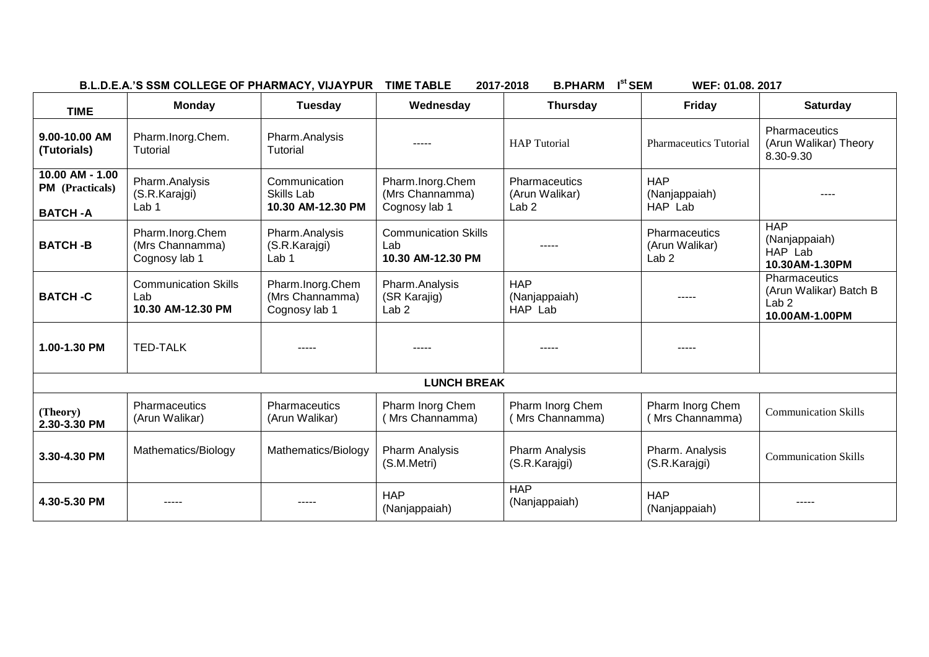| B.L.D.E.A.'S SSM COLLEGE OF PHARMACY, VIJAYPUR TIME TABLE |  | 2017-2018 B.PHARM I <sup>st</sup> SEM |  |  |
|-----------------------------------------------------------|--|---------------------------------------|--|--|
|-----------------------------------------------------------|--|---------------------------------------|--|--|

**WEF: 01.08. 2017** 

| <b>TIME</b>                                                 | Monday                                                  | <b>Tuesday</b>                                       | Wednesday                                               | <b>Thursday</b>                                            | <b>Friday</b>                                       | <b>Saturday</b>                                                               |  |
|-------------------------------------------------------------|---------------------------------------------------------|------------------------------------------------------|---------------------------------------------------------|------------------------------------------------------------|-----------------------------------------------------|-------------------------------------------------------------------------------|--|
| 9.00-10.00 AM<br>(Tutorials)                                | Pharm.Inorg.Chem.<br>Tutorial                           | Pharm.Analysis<br><b>Tutorial</b>                    | -----                                                   | <b>HAP</b> Tutorial                                        | <b>Pharmaceutics Tutorial</b>                       | Pharmaceutics<br>(Arun Walikar) Theory<br>8.30-9.30                           |  |
| 10.00 AM - 1.00<br><b>PM</b> (Practicals)<br><b>BATCH-A</b> | Pharm.Analysis<br>(S.R.Karajgi)<br>Lab 1                | Communication<br>Skills Lab<br>10.30 AM-12.30 PM     | Pharm.Inorg.Chem<br>(Mrs Channamma)<br>Cognosy lab 1    | <b>Pharmaceutics</b><br>(Arun Walikar)<br>Lab <sub>2</sub> | <b>HAP</b><br>(Nanjappaiah)<br>HAP Lab              |                                                                               |  |
| <b>BATCH-B</b>                                              | Pharm.Inorg.Chem<br>(Mrs Channamma)<br>Cognosy lab 1    | Pharm.Analysis<br>(S.R.Karajgi)<br>Lab <sub>1</sub>  | <b>Communication Skills</b><br>Lab<br>10.30 AM-12.30 PM |                                                            | Pharmaceutics<br>(Arun Walikar)<br>Lab <sub>2</sub> | <b>HAP</b><br>(Nanjappaiah)<br>HAP Lab<br>10.30AM-1.30PM                      |  |
| <b>BATCH-C</b>                                              | <b>Communication Skills</b><br>Lab<br>10.30 AM-12.30 PM | Pharm.Inorg.Chem<br>(Mrs Channamma)<br>Cognosy lab 1 | Pharm.Analysis<br>(SR Karajig)<br>Lab <sub>2</sub>      | <b>HAP</b><br>(Nanjappaiah)<br>HAP Lab                     | -----                                               | Pharmaceutics<br>(Arun Walikar) Batch B<br>Lab <sub>2</sub><br>10.00AM-1.00PM |  |
| 1.00-1.30 PM                                                | <b>TED-TALK</b>                                         |                                                      |                                                         |                                                            | -----                                               |                                                                               |  |
| <b>LUNCH BREAK</b>                                          |                                                         |                                                      |                                                         |                                                            |                                                     |                                                                               |  |
| (Theory)<br>2.30-3.30 PM                                    | Pharmaceutics<br>(Arun Walikar)                         | <b>Pharmaceutics</b><br>(Arun Walikar)               | Pharm Inorg Chem<br>(Mrs Channamma)                     | Pharm Inorg Chem<br>(Mrs Channamma)                        | Pharm Inorg Chem<br>(Mrs Channamma)                 | <b>Communication Skills</b>                                                   |  |
| 3.30-4.30 PM                                                | Mathematics/Biology                                     | Mathematics/Biology                                  | <b>Pharm Analysis</b><br>(S.M.Metri)                    | <b>Pharm Analysis</b><br>(S.R.Karajgi)                     | Pharm. Analysis<br>(S.R.Karajgi)                    | <b>Communication Skills</b>                                                   |  |
| 4.30-5.30 PM                                                |                                                         |                                                      | <b>HAP</b><br>(Nanjappaiah)                             | <b>HAP</b><br>(Nanjappaiah)                                | <b>HAP</b><br>(Nanjappaiah)                         |                                                                               |  |